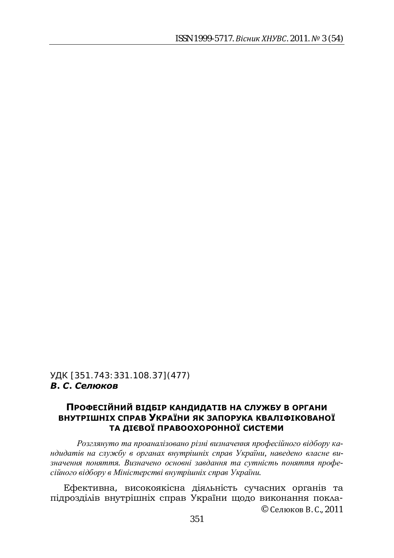## УДК [351.743:331.108.37] (477)  $B$ . *С. Селюков*

## ПРОФЕСІЙНИЙ ВІДБІР КАНДИДАТІВ НА СЛУЖБУ В ОРГАНИ ВНУТРІШНІХ СПРАВ УКРАЇНИ ЯК ЗАПОРУКА КВАЛІФІКОВАНОЇ ТА ДІЄВОЇ ПРАВООХОРОННОЇ СИСТЕМИ

Розглянуто та проаналізовано різні визначення професійного відбору ка*ндидатів на службу в органах внутрішніх справ України, наведено власне ви*значення поняття. Визначено основні завдання та сутність поняття професійного відбору в Міністерстві внутрішніх справ України.

© Селюков В. С., 2011 Ефективна, високоякісна діяльність сучасних органів та підрозділів внутрішніх справ України щодо виконання покла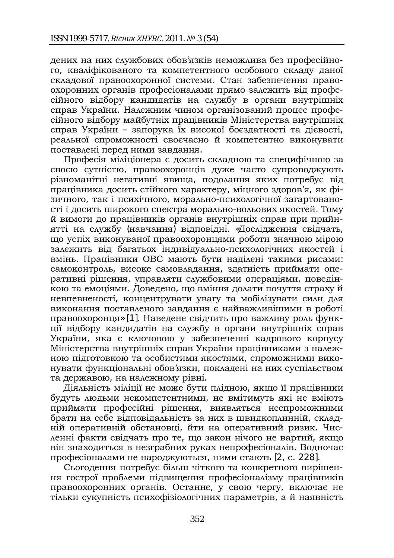дених на них службових обов'язків неможлива без професійного, кваліфікованого та компетентного особового складу даної складової правоохоронної системи. Стан забезпечення правоохоронних органів професіоналами прямо залежить від професійного відбору кандидатів на службу в органи внутрішніх справ України. Належним чином організований процес професійного відбору майбутніх працівників Міністерства внутрішніх справ України - запорука їх високої боєздатності та дієвості, реальної спроможності своєчасно й компетентно виконувати поставлені перед ними завдання.

Професія міліціонера є досить складною та специфічною за своєю сутністю, правоохоронців дуже часто супроводжують різноманітні негативні явища, подолання яких потребує від працівника досить стійкого характеру, міцного здоров'я, як фізичного, так і психічного, морально-психологічної загартованості і досить широкого спектра морально-вольових якостей. Тому й вимоги до працівників органів внутрішніх справ при прийнятті на службу (навчання) відповідні. «Дослідження свідчать, що успіх виконуваної правоохоронцями роботи значною мірою залежить від багатьох індивідуально-психологічних якостей і вмінь. Працівники ОВС мають бути наділені такими рисами: самоконтроль, високе самовладання, здатність приймати оперативні рішення, управляти службовими операціями, поведінкою та емоціями. Доведено, що вміння долати почуття страху й невпевненості, концентрувати увагу та мобілізувати сили для виконання поставленого завдання є найважливішими в роботі правоохоронця» [1]. Наведене свідчить про важливу роль функції відбору кандидатів на службу в органи внутрішніх справ України, яка є ключовою у забезпеченні кадрового корпусу Міністерства внутрішніх справ України працівниками з належною підготовкою та особистими якостями, спроможними виконувати функціональні обов'язки, покладені на них суспільством та державою, на належному рівні.

Діяльність міліції не може бути плідною, якщо її працівники будуть людьми некомпетентними, не вмітимуть які не вміють приймати професійні рішення, виявляться неспроможними брати на себе відповідальність за них в швидкоплинній, складній оперативній обстановці, йти на оперативний ризик. Численні факти свідчать про те, що закон нічого не вартий, якщо він знаходиться в незграбних руках непрофесіоналів. Водночас професіоналами не народжуються, ними стають [2, с. 228].

Сьогодення потребує більш чіткого та конкретного вирішення гострої проблеми підвищення професіоналізму працівників правоохоронних органів. Останнє, у свою чергу, включає не тільки сукупність психофізіологічних параметрів, а й наявність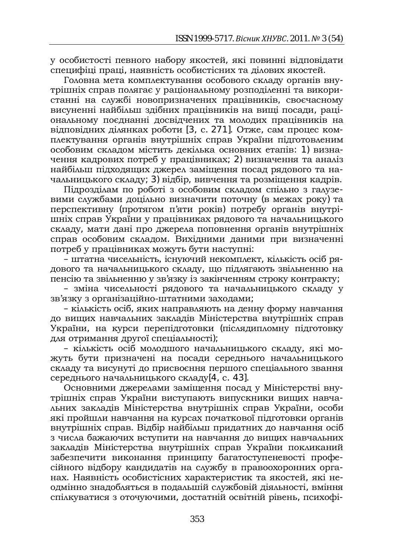у особистості певного набору якостей, які повинні відповідати специфіці праці, наявність особистісних та ділових якостей.

Головна мета комплектування особового складу органів внутрішніх справ полягає у раціональному розподіленні та використанні на службі новопризначених працівників, своєчасному висуненні найбільш здібних працівників на вищі посади, раціональному поєднанні досвідчених та молодих працівників на відповідних ділянках роботи [3, с. 271]. Отже, сам процес комплектування органів внутрішніх справ України підготовленим особовим складом містить декілька основних етапів: 1) визначення кадрових потреб у працівниках; 2) визначення та аналіз найбільш підходящих джерел заміщення посад рядового та начальницького складу; 3) відбір, вивчення та розміщення кадрів.

Підрозділам по роботі з особовим складом спільно з галузевими службами доцільно визначити поточну (в межах року) та перспективну (протягом п'яти років) потребу органів внутрішніх справ України у працівниках рядового та начальницького складу, мати дані про джерела поповнення органів внутрішніх справ особовим складом. Вихідними даними при визначенні потреб у працівниках можуть бути наступні:

– штатна чисельність, існуючий некомплект, кількість осіб рядового та начальницького складу, що підлягають звільненню на пенсію та звільненню у зв'язку із закінченням строку контракту;

– зміна чисельності рядового та начальницького складу у зв'язку з організаційно-штатними заходами;

– клыжисть осіб, яких направляють на денну форму навчання до вищих навчальних закладів Міністерства внутрішніх справ України, на курси перепідготовки (післядипломну підготовку для отримання другої спеціальності);

– кількість осіб молодшого начальницького складу, які можуть бути призначені на посади середнього начальницького складу та висунуті до присвоєння першого спеціального звання середнього начальницького складу[4, с. 43].

Основними джерелами заміщення посад у Міністерстві внутрішніх справ України виступають випускники вищих навчальних закладів Міністерства внутрішніх справ України, особи які пройшли навчання на курсах початкової підготовки органів внутрішніх справ. Відбір найбільш придатних до навчання осіб з числа бажаючих вступити на навчання до вищих навчальних закладів Міністерства внутрішніх справ України покликаний забезпечити виконання принципу багатоступеневості професійного відбору кандидатів на службу в правоохоронних органах. Наявність особистісних характеристик та якостей, які неодмінно знадобляться в подальшій службовій діяльності, вміння спілкуватися з оточуючими, достатній освітній рівень, психофі-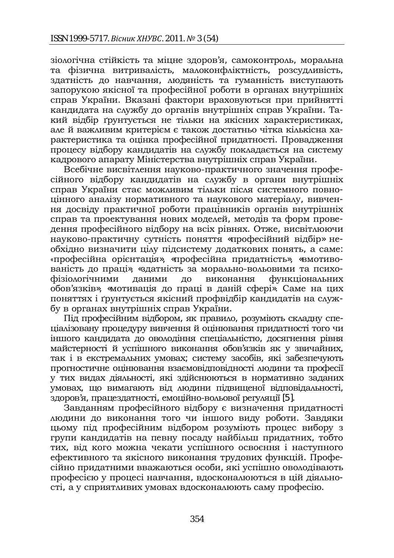зіологічна стійкість та міцне здоров'я, самоконтроль, моральна та фізична витривалість, малоконфліктність, розсудливість, здатність до навчання, людяність та гуманність виступають запорукою якісної та професійної роботи в органах внутрішніх справ України. Вказані фактори враховуються при прийнятті кандидата на службу до органів внутрішніх справ України. Такий відбір ґрунтується не тільки на якісних характеристиках, але й важливим критерієм є також достатньо чітка кількісна характеристика та оцінка професійної придатності. Провадження процесу відбору кандидатів на службу покладається на систему кадрового апарату Міністерства внутрішніх справ України.

Бсебічне висвітлення науково-практичного значення професійного відбору кандидатів на службу в органи внутрішніх справ України стає можливим тільки після системного повноцінного аналізу нормативного та наукового матеріалу, вивчення досвіду практичної роботи працівників органів внутрішніх справ та проектування нових моделей, методів та форм проведення професійного відбору на всіх рівнях. Отже, висвітлюючи науково-практичну сутність поняття «професійний відбір» необхідно визначити цілу підсистему додаткових понять, а саме: «професійна орієнтація», «професійна придатність», «вмотивованість до праці», «здатність за морально-вольовими та психофізіологічними даними до виконання функціональних обов'язків», «мотивація до праці в даній сфері». Саме на цих лоняттях і ґрунтується якісний профвідбір кандидатів на службу в органах внутрішніх справ України.

Під професійним відбором, як правило, розуміють складну спедіалізовану процедуру вивчення й оцінювання придатності того чи тниого кандидата до оволодіння спеціальністю, досягнення рівня майстерності й успішного виконання обов'язків як у звичайних, так і в екстремальних умовах; систему засобів, які забезпечують прогностичне оцінювання взаємовідповідності людини та професії V THX ВИДАХ ДІЯЛЬНОСТІ, ЯКІ ЗДІЙСНЮЮТЬСЯ В НОРМАТИВНО ЗАДАНИХ умовах, що вимагають від людини підвищеної відповідальності, "<br>здоров'я, працездатності, емоційно-вольової регуляції [5].

Завданням професійного відбору є визначення придатності людини до виконання того чи іншого виду роботи. Завдяки цьому під професійним відбором розуміють процес вибору з групи кандидатів на певну посаду найбільш придатних, тобто тих, від кого можна чекати успішного освоєння і наступного ефективного та якісного виконання трудових функцій. Профе- $\tilde{\mathbf{u}}$ сійно прилатними вважаються особи, які успішно оволодівають професією у процесі навчання, вдосконалюються в цій діяльності, а у сприятливих умовах вдосконалюють саму професію.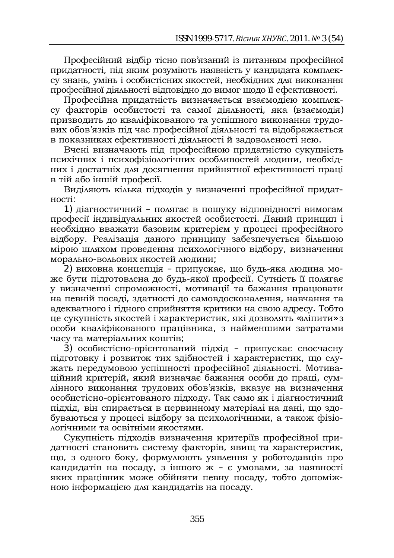Професійний відбір тісно пов'язаний із питанням професійної придатності, під яким розуміють наявність у кандидата комплексу знань, умінь і особистісних якостей, необхідних для виконання професійної діяльності відповідно до вимог щодо її ефективності.

Професійна придатність визначається взаємодією комплексу факторів особистості та самої діяльності, яка (взаємодія) призводить до кваліфікованого та успішного виконання трудових обов'язків під час професійної діяльності та відображається в показниках ефективності діяльності й задоволеності нею.

Вчені визначають під професійною придатністю сукупність психічних і психофізіологічних особливостей людини, необхідних і достатніх для досягнення прийнятної ефективності праці в тій або іншій професії.

Виділяють кілька підходів у визначенні професійної придат-HOCTI.

1) діагностичний – полягає в пошуку відповідності вимогам професії індивідуальних якостей особистості. Даний принцип і необхідно вважати базовим критерієм у процесі професійного відбору. Реалізація даного принципу забезпечується більшою мірою шляхом проведення психологічного відбору, визначення морально-вольових якостей людини;

2) виховна концепція – припускає, що будь-яка людина може бути підготовлена до будь-якої професії. Сутність її полягає у визначенні спроможності, мотивації та бажання працювати на певній посаді, здатності до самовдосконалення, навчання та адекватного і гідного сприйняття критики на свою адресу. Тобто це сукупність якостей і характеристик, які дозволять «зліпити» з особи кваліфікованого працівника, з найменшими затратами часу та матеріальних коштів;

3) особистісно-орієнтований підхід - припускає своєчасну підготовку і розвиток тих здібностей і характеристик, що служать передумовою успішності професійної діяльності. Мотиваційний критерій, який визначає бажання особи до праці, сумлінного виконання трудових обов'язків, вказує на визначення особистісно-орієнтованого підходу. Так само як і діагностичний підхід, він спирається в первинному матеріалі на дані, що здобуваються у процесі відбору за психологічними, а також фізіологічними та освітніми якостями.

Сукупність підходів визначення критеріїв професійної придатності становить систему факторів, явищ та характеристик, що, з одного боку, формулюють уявлення у роботодавців про кандидатів на посаду, з іншого ж – є умовами, за наявності яких працівник може обійняти певну посаду, тобто допоміжною інформацією для кандидатів на посаду.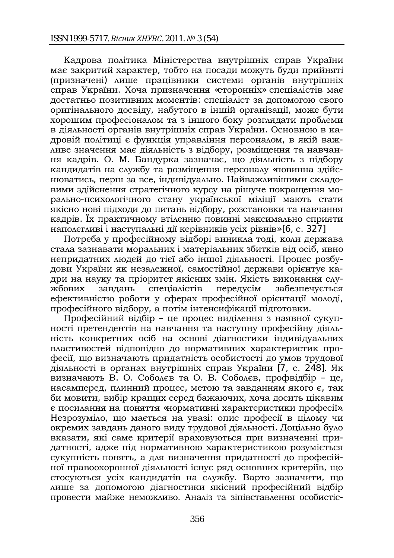Кадрова політика Міністерства внутрішніх справ України має закритий характер, тобто на посади можуть буди прийняті (призначені) лише працівники системи органів внутрішніх справ України. Хоча призначення «сторонніх» спеціалістів має достатньо позитивних моментів: спеціаліст за допомогою свого оригінального досвіду, набутого в іншій організації, може бути хорошим професіоналом та з іншого боку розглядати проблеми в діяльності органів внутрішніх справ України. Основною в кадровій політиці є функція управління персоналом, в якій важливе значення має діяльність з відбору, розміщення та навчання кадрів. О. М. Бандурка зазначає, що діяльність з підбору кандидатів на службу та розміщення персоналу «повинна здійснюватись, перш за все, індивідуально. Найважливішими складовими здійснення стратегічного курсу на рішуче покращення морально-психологічного стану української міліції мають стати якісно нові підходи до питань відбору, розстановки та навчання кадрів. Їх практичному втіленню повинні максимально сприяти наполегливі і наступальні дії керівників усіх рівнів» [6, с. 327]

Потреба у професійному відборі виникла тоді, коли держава стала зазнавати моральних і матеріальних збитків від осіб, явно непридатних людей до тієї або іншої діяльності. Процес розбудови України як незалежної, самостійної держави орієнтує кадри на науку та пріоритет якісних змін. Якість виконання службових завдань спеціалістів передусім забезпечується ефективністю роботи у сферах професійної орієнтації молоді, професійного відбору, а потім інтенсифікації підготовки.

Професійний відбір – це процес виділення з наявної сукупності претендентів на навчання та наступну професійну діяльність конкретних осіб на основі діагностики індивідуальних властивостей відповідно до нормативних характеристик професії, що визначають придатність особистості до умов трудової діяльності в органах внутрішніх справ України [7, с. 248]. Як визначають В. О. Соболєв та О. В. Соболєв, профвідбір – це. насамперед, плинний процес, метою та завданням якого є, так би мовити, вибір кращих серед бажаючих, хоча досить цікавим є посилання на поняття «нормативні характеристики професії». Незрозуміло, що мається на увазі: опис професії в цілому чи окремих завдань даного виду трудової діяльності. Доцільно було вказати, які саме критерії враховуються при визначенні придатності, адже під нормативною характеристикою розуміється сукупність понять, а для визначення придатності до професійної правоохоронної ліяльності існує ряд основних критеріїв, що стосуються усіх кандидатів на службу. Варто зазначити, що лише за допомогою діагностики якісний професійний відбір провести майже неможливо. Аналіз та зіпівставлення особистіс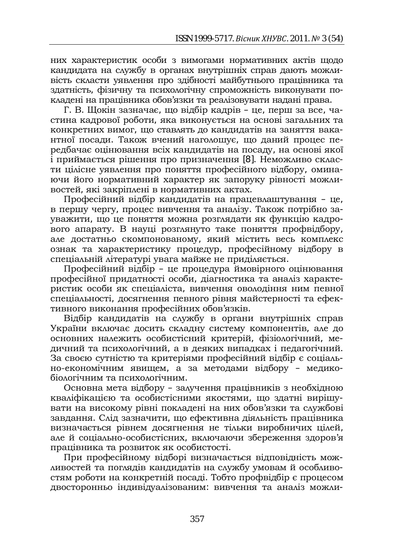них характеристик особи з вимогами нормативних актів щодо кандидата на службу в органах внутрішніх справ дають можливість скласти уявлення про здібності майбутнього працівника та здатність, фізичну та психологічну спроможність виконувати покладені на працівника обов'язки та реалізовувати надані права.

Г. В. Щокін зазначає, що відбір кадрів - це, перш за все, частина кадрової роботи, яка виконується на основі загальних та конкретних вимог, що ставлять до кандидатів на заняття вакантної посади. Також вчений наголошує, що даний процес передбачає оцінювання всіх кандидатів на посаду, на основі якої  $\overline{i}$  приймається рішення про призначення [8]. Неможливо скласти цілісне уявлення про поняття професійного відбору, оминаючи його нормативний характер як запоруку рівності можливостей, які закріплені в нормативних актах.

Професійний відбір кандидатів на працевлаштування - це, в першу чергу, процес вивчення та аналізу. Також потрібно зауважити, що це поняття можна розглядати як функцію кадрового апарату. В науці розглянуто таке поняття профвідбору, але достатньо скомпонованому, який містить весь комплекс ознак та характеристику процедур, професійному відбору в спеціальній літературі увага майже не приділяється.

Професійний відбір - це процедура ймовірного оцінювання професійної придатності особи, діагностика та аналіз характе- $\overline{p}$ истик особи як спеціаліста, вивчення оволодіння ним певної спеціальності, досягнення певного рівня майстерності та ефективного виконання професійних обов'язків.

Відбір кандидатів на службу в органи внутрішніх справ України включає досить складну систему компонентів, але до основних належить особистісний критерій, фізіологічний, медичний та психологічний, а в деяких випадках і педагогічний. За своєю сутністю та критеріями професійний відбір є соціально-економічним явищем, а за методами відбору - медикобіологічним та психологічним.

Основна мета відбору – залучення працівників з необхідною кваліфікацією та особистісними якостями, що здатні вирішувати на високому рівні покладені на них обов'язки та службові завдання. Слід зазначити, що ефективна діяльність працівника визначається рівнем досягнення не тільки виробничих цілей, але й соціально-особистісних, включаючи збереження здоров'я працівника та розвиток як особистості.

При професійному відборі визначається відповідність можливостей та поглялів канлилатів на службу умовам й особливостям роботи на конкретній посаді. Тобто профвідбір є процесом двосторонньо індивідуалізованим: вивчення та аналіз можли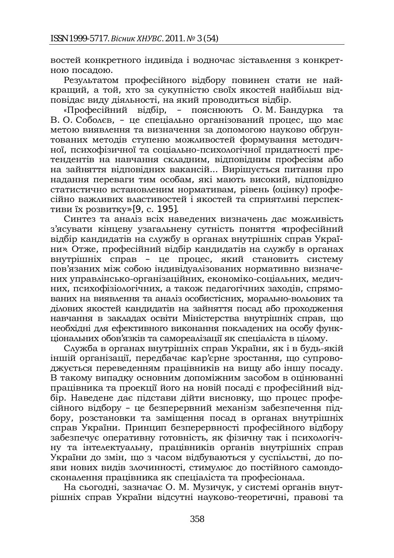востей конкретного індивіда і водночас зіставлення з конкретною посалою.

Результатом професійного відбору повинен стати не найкращий, а той, хто за сукупністю своїх якостей найбільш відповілає виду діяльності, на який проводиться відбір.

«Професійний відбір, – пояснюють О.М.Бандурка та В. О. Соболев, – це спеціально організований процес, що має метою виявлення та визначення за допомогою науково обґрунтованих методів ступеню можливостей формування методичної, психофізичної та соціально-психологічної придатності претендентів на навчання складним, відповідним професіям або на зайняття відповідних вакансій... Вирішується питання про надання переваги тим особам, які мають високий, відповідно статистично встановленим нормативам, рівень (оцінку) професійно важливих властивостей і якостей та сприятливі перспективи їх розвитку» [9, с. 195].

Синтез та аналіз всіх наведених визначень дає можливість з'ясувати кінцеву узагальнену сутність поняття «професійний відбір кандидатів на службу в органах внутрішніх справ України». Отже, професійний відбір кандидатів на службу в органах внутрішніх справ – це процес, який становить систему пов'язаних між собою індивідуалізованих нормативно визначених управлінсько-організаційних, економіко-соціальних, медичних, психофізіологічних, а також педагогічних заходів, спрямованих на виявлення та аналіз особистісних, морально-вольових та ділових якостей кандидатів на зайняття посад або проходження навчання в закладах освіти Міністерства внутрішніх справ, що необхідні для ефективного виконання покладених на особу функціональних обов'язків та самореалізації як спеціаліста в цілому.

Служба в органах внутрішніх справ України, як і в будь-якій іншій організації, передбачає кар'єрне зростання, що супроводжується переведенням працівників на вищу або іншу посаду. В такому випадку основним допоміжним засобом в оцінюванні працівника та проекції його на новій посаді є професійний відбір. Наведене дає підстави дійти висновку, що процес професійного відбору - це безперервний механізм забезпечення підбору, розстановки та заміщення посад в органах внутрішніх справ України. Принцип безперервності професійного відбору забезпечує оперативну готовність, як фізичну так і психологічну та інтелектуальну, працівників органів внутрішніх справ України до змін, що з часом відбуваються у суспільстві, до по-ЯВИ НОВИХ ВИЛІВ ЗЛОЧИННОСТІ, СТИМУЛЮЄ ДО ПОСТІЙНОГО САМОВДОсконалення працівника як спеціаліста та професіонала.

На сьогодні, зазначає О. М. Музичук, у системі органів внутрішніх справ України відсутні науково-теоретичні, правові та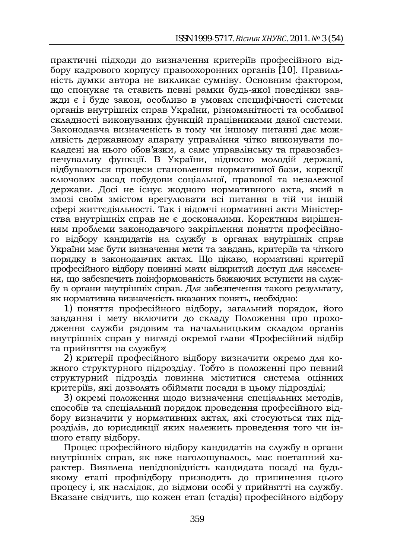практичні підходи до визначення критеріїв професійного від- $\overline{6}$ ору кадрового корпусу правоохоронних органив [10]. Правильність думки автора не викликає сумніву. Основним фактором, що спонукає та ставить певні рамки будь-якої поведінки завжди є і буде закон, особливо в умовах специфічності системи органів внутрішніх справ України, різноманітності та особливої складності виконуваних функцій працівниками даної системи. Законодавча визначеність в тому чи іншому питанні дає можливість державному апарату управління чітко виконувати покладені на нього обов'язки, а саме управлінську та правозабезпечувальну функції. В України, відносно молодій державі, відбуваються процеси становлення нормативної бази, корекції ключових засад побудови соціальної, правової та незалежної держави. Досі не існує жодного нормативного акта, який в змозі своїм змістом врегулювати всі питання в тій чи іншій сфері життєдіяльності. Так і відомчі нормативні акти Міністерства внутрішніх справ не є досконалими. Коректним вирішенням проблеми законодавчого закріплення поняття професійного відбору кандидатів на службу в органах внутрішніх справ України має бути визначення мети та завдань, критеріїв та чіткого порядку в законодавчих актах. Що цікаво, нормативні критерії професійного відбору повинні мати відкритий доступ для населення, що забезпечить поінформованість бажаючих вступити на службу в органи внутрішніх справ. Для забезпечення такого результату, як нормативна визначеність вказаних понять, необхідно:

1) поняття професійного відбору, загальний порядок, його завдання і мету включити до складу Положення про проходження служби рядовим та начальницьким складом органів внутрішніх справ у вигляді окремої глави «Професійний відбір та прийняття на службу»;

2) критерії професійного відбору визначити окремо для кожного структурного підрозділу. Тобто в положенні про певний структурний підрозділ повинна міститися система оцінних критеріїв, які дозволять обіймати посади в цьому підрозділі;

3) окремі положення щодо визначення спеціальних методів, способів та спеціальний порядок проведення професійного відбору визначити у нормативних актах, які стосуються тих підрозділів, до юрисдикції яких належить проведення того чи іншого етапу відбору.

Процес професійного відбору кандидатів на службу в органи внутрішніх справ, як вже наголошувалось, має поетапний характер, Виявлена невілповілність канлилата посалі на бультикому етапі профвідбору призводить до припинення цього процесу і, як наслідок, до відмови особі у прийнятті на службу. Бказане свідчить, що кожен етап (стадія) професійного відбору